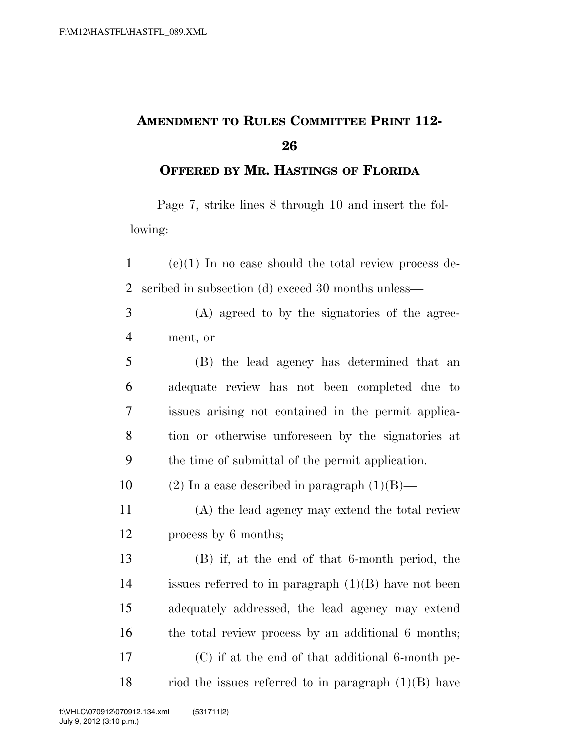## **AMENDMENT TO RULES COMMITTEE PRINT 112-**

**OFFERED BY MR. HASTINGS OF FLORIDA**

Page 7, strike lines 8 through 10 and insert the following:

 (e)(1) In no case should the total review process de-scribed in subsection (d) exceed 30 months unless—

 (A) agreed to by the signatories of the agree-ment, or

 (B) the lead agency has determined that an adequate review has not been completed due to issues arising not contained in the permit applica- tion or otherwise unforeseen by the signatories at the time of submittal of the permit application.

10 (2) In a case described in paragraph  $(1)(B)$ —

 (A) the lead agency may extend the total review process by 6 months;

 (B) if, at the end of that 6-month period, the issues referred to in paragraph (1)(B) have not been adequately addressed, the lead agency may extend 16 the total review process by an additional 6 months; (C) if at the end of that additional 6-month pe-18 riod the issues referred to in paragraph  $(1)(B)$  have